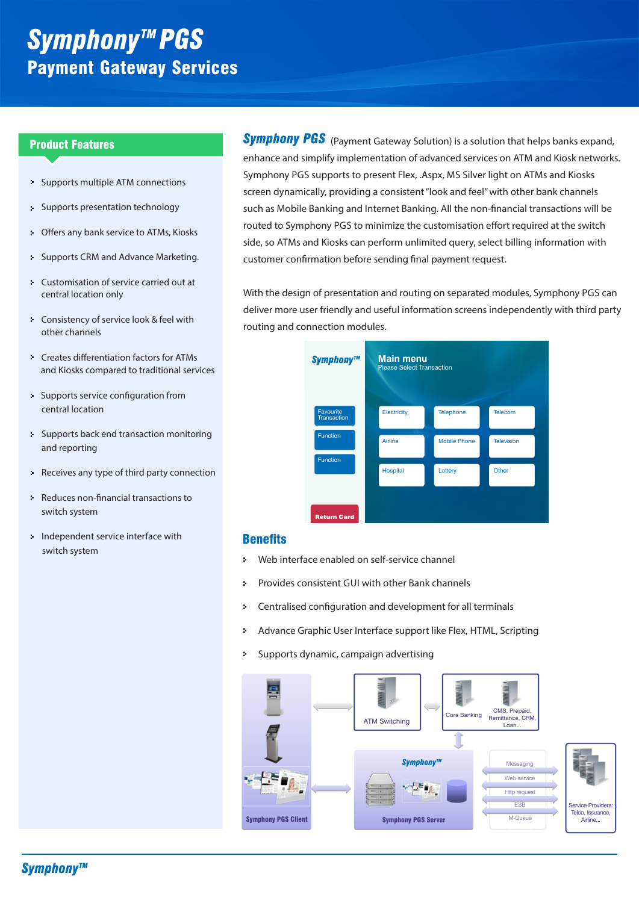# **Symphony™ PGS** Payment Gateway Services

- × Supports multiple ATM connections
- s, Supports presentation technology
- Offers any bank service to ATMs, Kiosks  $\mathbf{S}^{\top}$
- Supports CRM and Advance Marketing.  $\mathbf{S}$
- Customisation of service carried out at s. central location only
- Consistency of service look & feel with other channels
- Creates differentiation factors for ATMs and Kiosks compared to traditional services
- Supports service configuration from central location
- Supports back end transaction monitoring and reporting
- Receives any type of third party connection
- Reduces non-financial transactions to switch system
- Independent service interface with switch system

Product Features **Example 19 and Symphony PGS** (Payment Gateway Solution) is a solution that helps banks expand, enhance and simplify implementation of advanced services on ATM and Kiosk networks. Symphony PGS supports to present Flex, .Aspx, MS Silver light on ATMs and Kiosks screen dynamically, providing a consistent "look and feel" with other bank channels such as Mobile Banking and Internet Banking. All the non-financial transactions will be routed to Symphony PGS to minimize the customisation effort required at the switch side, so ATMs and Kiosks can perform unlimited query, select billing information with customer confirmation before sending final payment request.

> With the design of presentation and routing on separated modules, Symphony PGS can deliver more user friendly and useful information screens independently with third party routing and connection modules.



### **Benefits**

- į, Web interface enabled on self-service channel
- Provides consistent GUI with other Bank channels ż
- Centralised configuration and development for all terminals ż.
- Advance Graphic User Interface support like Flex, HTML, Scripting ò.
- Supports dynamic, campaign advertising ý.